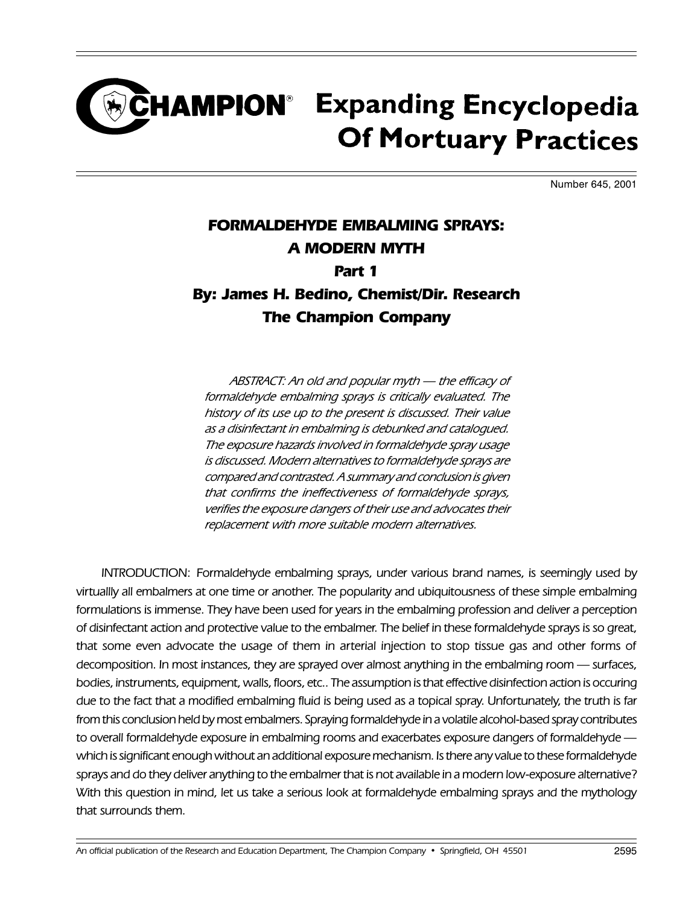### **HAMPION<sup>®</sup> Expanding Encyclopedia Of Mortuary Practices**

Number 645, 2001

#### FORMALDEHYDE EMBALMING SPRAYS: A MODERN MYTH Part 1 By: James H. Bedino, Chemist/Dir. Research The Champion Company

ABSTRACT: An old and popular myth - the efficacy of formaldehyde embalming sprays is critically evaluated. The history of its use up to the present is discussed. Their value as a disinfectant in embalming is debunked and catalogued. The exposure hazards involved in formaldehyde spray usage is discussed. Modern alternatives to formaldehyde sprays are compared and contrasted. A summary and conclusion is given that confirms the ineffectiveness of formaldehyde sprays, verifies the exposure dangers of their use and advocates their replacement with more suitable modern alternatives.

INTRODUCTION: Formaldehyde embalming sprays, under various brand names, is seemingly used by virtuallly all embalmers at one time or another. The popularity and ubiquitousness of these simple embalming formulations is immense. They have been used for years in the embalming profession and deliver a perception of disinfectant action and protective value to the embalmer. The belief in these formaldehyde sprays is so great, that some even advocate the usage of them in arterial injection to stop tissue gas and other forms of decomposition. In most instances, they are sprayed over almost anything in the embalming room — surfaces, bodies, instruments, equipment, walls, floors, etc.. The assumption is that effective disinfection action is occuring due to the fact that a modified embalming fluid is being used as a topical spray. Unfortunately, the truth is far from this conclusion held by most embalmers. Spraying formaldehyde in a volatile alcohol-based spray contributes to overall formaldehyde exposure in embalming rooms and exacerbates exposure dangers of formaldehyde which is significant enough without an additional exposure mechanism. Is there any value to these formaldehyde sprays and do they deliver anything to the embalmer that is not available in a modern low-exposure alternative? With this question in mind, let us take a serious look at formaldehyde embalming sprays and the mythology that surrounds them.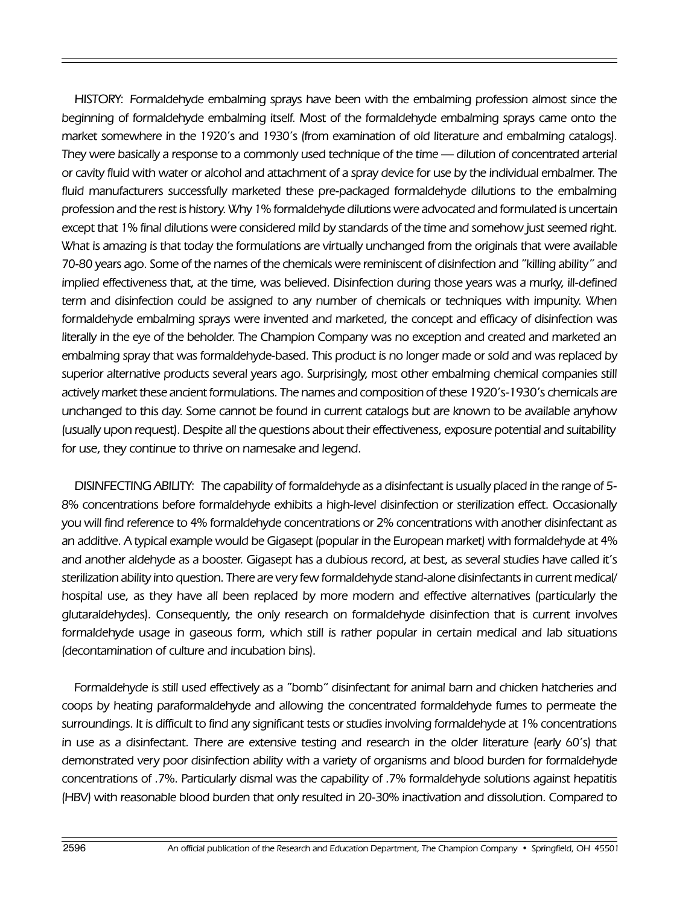HISTORY: Formaldehyde embalming sprays have been with the embalming profession almost since the beginning of formaldehyde embalming itself. Most of the formaldehyde embalming sprays came onto the market somewhere in the 1920's and 1930's (from examination of old literature and embalming catalogs). They were basically a response to a commonly used technique of the time — dilution of concentrated arterial or cavity fluid with water or alcohol and attachment of a spray device for use by the individual embalmer. The fluid manufacturers successfully marketed these pre-packaged formaldehyde dilutions to the embalming profession and the rest is history. Why 1% formaldehyde dilutions were advocated and formulated is uncertain except that 1% final dilutions were considered mild by standards of the time and somehow just seemed right. What is amazing is that today the formulations are virtually unchanged from the originals that were available 70-80 years ago. Some of the names of the chemicals were reminiscent of disinfection and "killing ability" and implied effectiveness that, at the time, was believed. Disinfection during those years was a murky, ill-defined term and disinfection could be assigned to any number of chemicals or techniques with impunity. When formaldehyde embalming sprays were invented and marketed, the concept and efficacy of disinfection was literally in the eye of the beholder. The Champion Company was no exception and created and marketed an embalming spray that was formaldehyde-based. This product is no longer made or sold and was replaced by superior alternative products several years ago. Surprisingly, most other embalming chemical companies still actively market these ancient formulations. The names and composition of these 1920's-1930's chemicals are unchanged to this day. Some cannot be found in current catalogs but are known to be available anyhow (usually upon request). Despite all the questions about their effectiveness, exposure potential and suitability for use, they continue to thrive on namesake and legend.

DISINFECTING ABILITY: The capability of formaldehyde as a disinfectant is usually placed in the range of 5- 8% concentrations before formaldehyde exhibits a high-level disinfection or sterilization effect. Occasionally you will find reference to 4% formaldehyde concentrations or 2% concentrations with another disinfectant as an additive. A typical example would be Gigasept (popular in the European market) with formaldehyde at 4% and another aldehyde as a booster. Gigasept has a dubious record, at best, as several studies have called it's sterilization ability into question. There are very few formaldehyde stand-alone disinfectants in current medical/ hospital use, as they have all been replaced by more modern and effective alternatives (particularly the glutaraldehydes). Consequently, the only research on formaldehyde disinfection that is current involves formaldehyde usage in gaseous form, which still is rather popular in certain medical and lab situations (decontamination of culture and incubation bins).

Formaldehyde is still used effectively as a "bomb" disinfectant for animal barn and chicken hatcheries and coops by heating paraformaldehyde and allowing the concentrated formaldehyde fumes to permeate the surroundings. It is difficult to find any significant tests or studies involving formaldehyde at 1% concentrations in use as a disinfectant. There are extensive testing and research in the older literature (early 60's) that demonstrated very poor disinfection ability with a variety of organisms and blood burden for formaldehyde concentrations of .7%. Particularly dismal was the capability of .7% formaldehyde solutions against hepatitis (HBV) with reasonable blood burden that only resulted in 20-30% inactivation and dissolution. Compared to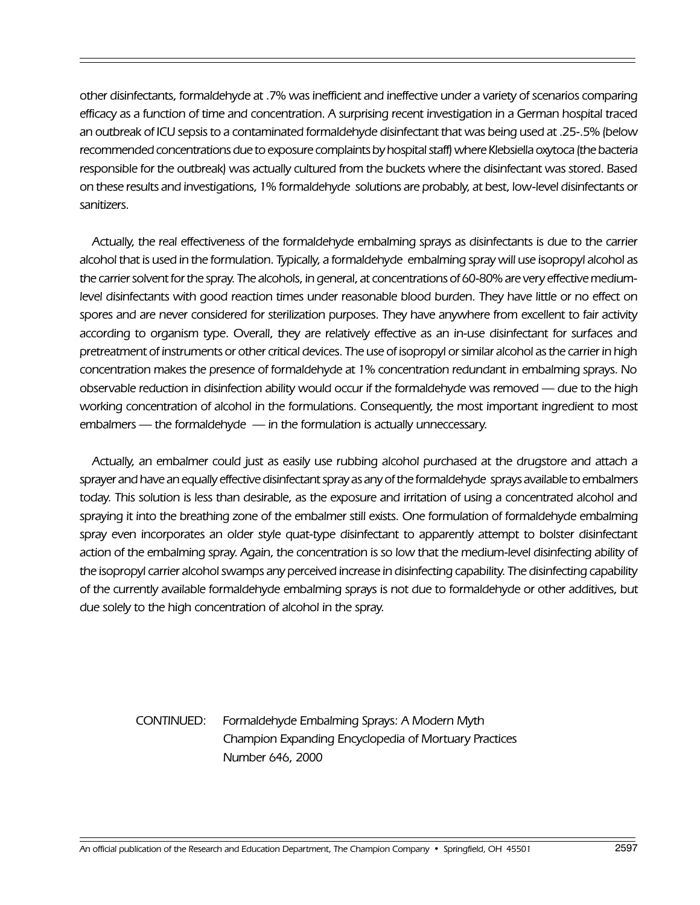other disinfectants, formaldehyde at .7% was inefficient and ineffective under a variety of scenarios comparing efficacy as a function of time and concentration. A surprising recent investigation in a German hospital traced an outbreak of ICU sepsis to a contaminated formaldehyde disinfectant that was being used at .25-.5% (below recommended concentrations due to exposure complaints by hospital staff) where Klebsiella oxytoca (the bacteria responsible for the outbreak) was actually cultured from the buckets where the disinfectant was stored. Based on these results and investigations, 1% formaldehyde solutions are probably, at best, low-level disinfectants or sanitizers.

Actually, the real effectiveness of the formaldehyde embalming sprays as disinfectants is due to the carrier alcohol that is used in the formulation. Typically, a formaldehyde embalming spray will use isopropyl alcohol as the carrier solvent for the spray. The alcohols, in general, at concentrations of 60-80% are very effective mediumlevel disinfectants with good reaction times under reasonable blood burden. They have little or no effect on spores and are never considered for sterilization purposes. They have anywhere from excellent to fair activity according to organism type. Overall, they are relatively effective as an in-use disinfectant for surfaces and pretreatment of instruments or other critical devices. The use of isopropyl or similar alcohol as the carrier in high concentration makes the presence of formaldehyde at 1% concentration redundant in embalming sprays. No observable reduction in disinfection ability would occur if the formaldehyde was removed — due to the high working concentration of alcohol in the formulations. Consequently, the most important ingredient to most embalmers  $-$  the formaldehyde  $-$  in the formulation is actually unneccessary.

Actually, an embalmer could just as easily use rubbing alcohol purchased at the drugstore and attach a sprayer and have an equally effective disinfectant spray as any of the formaldehyde sprays available to embalmers today. This solution is less than desirable, as the exposure and irritation of using a concentrated alcohol and spraying it into the breathing zone of the embalmer still exists. One formulation of formaldehyde embalming spray even incorporates an older style quat-type disinfectant to apparently attempt to bolster disinfectant action of the embalming spray. Again, the concentration is so low that the medium-level disinfecting ability of the isopropyl carrier alcohol swamps any perceived increase in disinfecting capability. The disinfecting capability of the currently available formaldehyde embalming sprays is not due to formaldehyde or other additives, but due solely to the high concentration of alcohol in the spray.

> CONTINUED: Formaldehyde Embalming Sprays: A Modern Myth Champion Expanding Encyclopedia of Mortuary Practices Number 646, 2000